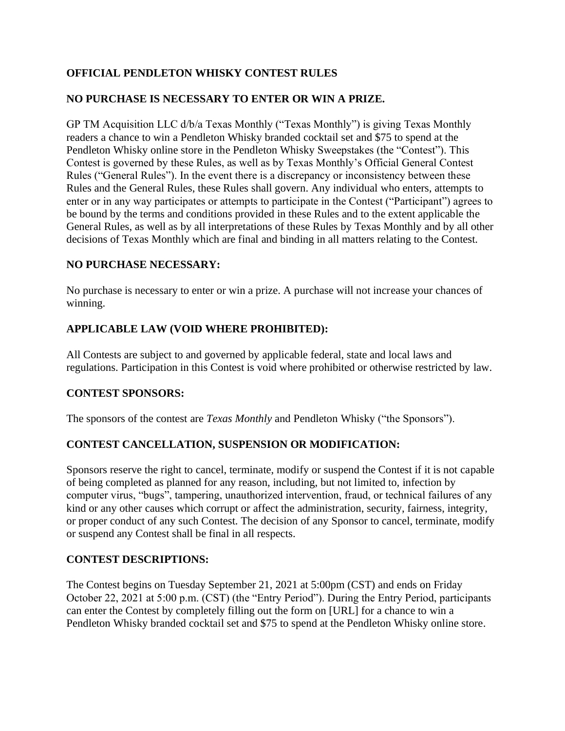# **OFFICIAL PENDLETON WHISKY CONTEST RULES**

## **NO PURCHASE IS NECESSARY TO ENTER OR WIN A PRIZE.**

GP TM Acquisition LLC d/b/a Texas Monthly ("Texas Monthly") is giving Texas Monthly readers a chance to win a Pendleton Whisky branded cocktail set and \$75 to spend at the Pendleton Whisky online store in the Pendleton Whisky Sweepstakes (the "Contest"). This Contest is governed by these Rules, as well as by Texas Monthly's Official General Contest Rules ("General Rules"). In the event there is a discrepancy or inconsistency between these Rules and the General Rules, these Rules shall govern. Any individual who enters, attempts to enter or in any way participates or attempts to participate in the Contest ("Participant") agrees to be bound by the terms and conditions provided in these Rules and to the extent applicable the General Rules, as well as by all interpretations of these Rules by Texas Monthly and by all other decisions of Texas Monthly which are final and binding in all matters relating to the Contest.

#### **NO PURCHASE NECESSARY:**

No purchase is necessary to enter or win a prize. A purchase will not increase your chances of winning.

### **APPLICABLE LAW (VOID WHERE PROHIBITED):**

All Contests are subject to and governed by applicable federal, state and local laws and regulations. Participation in this Contest is void where prohibited or otherwise restricted by law.

### **CONTEST SPONSORS:**

The sponsors of the contest are *Texas Monthly* and Pendleton Whisky ("the Sponsors").

### **CONTEST CANCELLATION, SUSPENSION OR MODIFICATION:**

Sponsors reserve the right to cancel, terminate, modify or suspend the Contest if it is not capable of being completed as planned for any reason, including, but not limited to, infection by computer virus, "bugs", tampering, unauthorized intervention, fraud, or technical failures of any kind or any other causes which corrupt or affect the administration, security, fairness, integrity, or proper conduct of any such Contest. The decision of any Sponsor to cancel, terminate, modify or suspend any Contest shall be final in all respects.

#### **CONTEST DESCRIPTIONS:**

The Contest begins on Tuesday September 21, 2021 at 5:00pm (CST) and ends on Friday October 22, 2021 at 5:00 p.m. (CST) (the "Entry Period"). During the Entry Period, participants can enter the Contest by completely filling out the form on [URL] for a chance to win a Pendleton Whisky branded cocktail set and \$75 to spend at the Pendleton Whisky online store.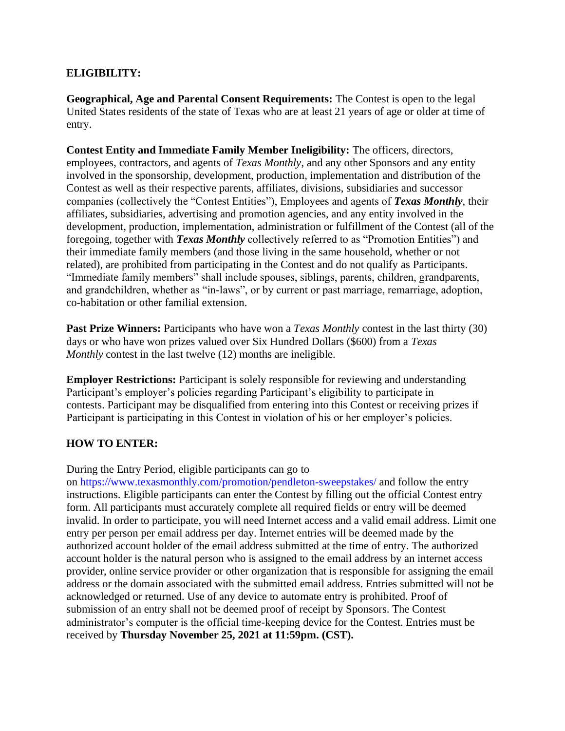### **ELIGIBILITY:**

**Geographical, Age and Parental Consent Requirements:** The Contest is open to the legal United States residents of the state of Texas who are at least 21 years of age or older at time of entry.

**Contest Entity and Immediate Family Member Ineligibility:** The officers, directors, employees, contractors, and agents of *Texas Monthly*, and any other Sponsors and any entity involved in the sponsorship, development, production, implementation and distribution of the Contest as well as their respective parents, affiliates, divisions, subsidiaries and successor companies (collectively the "Contest Entities"), Employees and agents of *Texas Monthly*, their affiliates, subsidiaries, advertising and promotion agencies, and any entity involved in the development, production, implementation, administration or fulfillment of the Contest (all of the foregoing, together with *Texas Monthly* collectively referred to as "Promotion Entities") and their immediate family members (and those living in the same household, whether or not related), are prohibited from participating in the Contest and do not qualify as Participants. "Immediate family members" shall include spouses, siblings, parents, children, grandparents, and grandchildren, whether as "in-laws", or by current or past marriage, remarriage, adoption, co-habitation or other familial extension.

**Past Prize Winners:** Participants who have won a *Texas Monthly* contest in the last thirty (30) days or who have won prizes valued over Six Hundred Dollars (\$600) from a *Texas Monthly* contest in the last twelve (12) months are ineligible.

**Employer Restrictions:** Participant is solely responsible for reviewing and understanding Participant's employer's policies regarding Participant's eligibility to participate in contests. Participant may be disqualified from entering into this Contest or receiving prizes if Participant is participating in this Contest in violation of his or her employer's policies.

### **HOW TO ENTER:**

During the Entry Period, eligible participants can go to

on https://www.texasmonthly.com/promotion/pendleton-sweepstakes/ and follow the entry instructions. Eligible participants can enter the Contest by filling out the official Contest entry form. All participants must accurately complete all required fields or entry will be deemed invalid. In order to participate, you will need Internet access and a valid email address. Limit one entry per person per email address per day. Internet entries will be deemed made by the authorized account holder of the email address submitted at the time of entry. The authorized account holder is the natural person who is assigned to the email address by an internet access provider, online service provider or other organization that is responsible for assigning the email address or the domain associated with the submitted email address. Entries submitted will not be acknowledged or returned. Use of any device to automate entry is prohibited. Proof of submission of an entry shall not be deemed proof of receipt by Sponsors. The Contest administrator's computer is the official time-keeping device for the Contest. Entries must be received by **Thursday November 25, 2021 at 11:59pm. (CST).**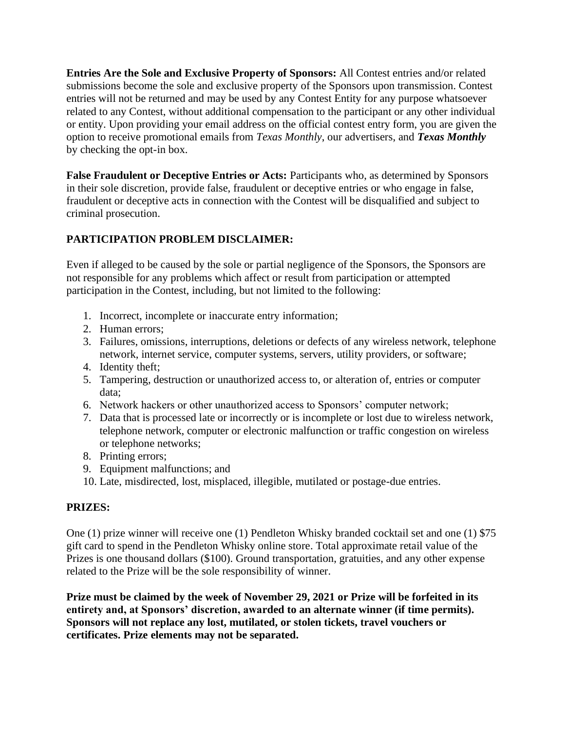**Entries Are the Sole and Exclusive Property of Sponsors:** All Contest entries and/or related submissions become the sole and exclusive property of the Sponsors upon transmission. Contest entries will not be returned and may be used by any Contest Entity for any purpose whatsoever related to any Contest, without additional compensation to the participant or any other individual or entity. Upon providing your email address on the official contest entry form, you are given the option to receive promotional emails from *Texas Monthly*, our advertisers, and *Texas Monthly*  by checking the opt-in box.

**False Fraudulent or Deceptive Entries or Acts:** Participants who, as determined by Sponsors in their sole discretion, provide false, fraudulent or deceptive entries or who engage in false, fraudulent or deceptive acts in connection with the Contest will be disqualified and subject to criminal prosecution.

# **PARTICIPATION PROBLEM DISCLAIMER:**

Even if alleged to be caused by the sole or partial negligence of the Sponsors, the Sponsors are not responsible for any problems which affect or result from participation or attempted participation in the Contest, including, but not limited to the following:

- 1. Incorrect, incomplete or inaccurate entry information;
- 2. Human errors;
- 3. Failures, omissions, interruptions, deletions or defects of any wireless network, telephone network, internet service, computer systems, servers, utility providers, or software;
- 4. Identity theft;
- 5. Tampering, destruction or unauthorized access to, or alteration of, entries or computer data;
- 6. Network hackers or other unauthorized access to Sponsors' computer network;
- 7. Data that is processed late or incorrectly or is incomplete or lost due to wireless network, telephone network, computer or electronic malfunction or traffic congestion on wireless or telephone networks;
- 8. Printing errors;
- 9. Equipment malfunctions; and
- 10. Late, misdirected, lost, misplaced, illegible, mutilated or postage-due entries.

# **PRIZES:**

One (1) prize winner will receive one (1) Pendleton Whisky branded cocktail set and one (1) \$75 gift card to spend in the Pendleton Whisky online store. Total approximate retail value of the Prizes is one thousand dollars (\$100). Ground transportation, gratuities, and any other expense related to the Prize will be the sole responsibility of winner.

**Prize must be claimed by the week of November 29, 2021 or Prize will be forfeited in its entirety and, at Sponsors' discretion, awarded to an alternate winner (if time permits). Sponsors will not replace any lost, mutilated, or stolen tickets, travel vouchers or certificates. Prize elements may not be separated.**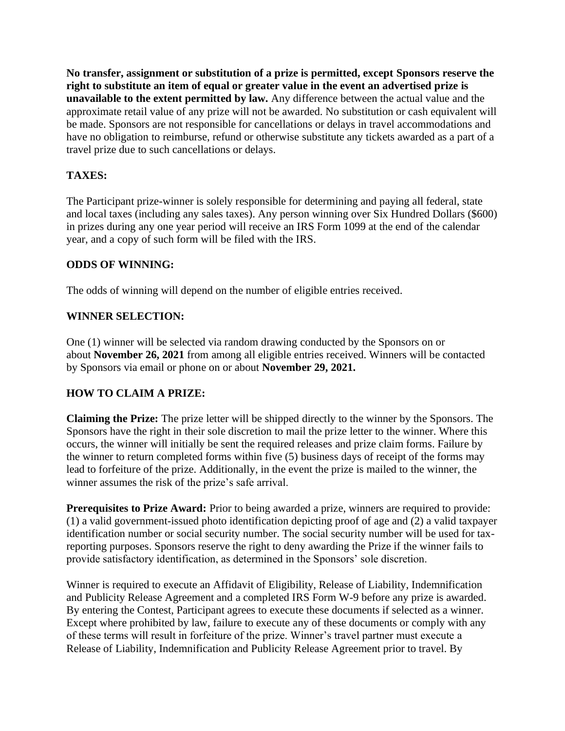**No transfer, assignment or substitution of a prize is permitted, except Sponsors reserve the right to substitute an item of equal or greater value in the event an advertised prize is unavailable to the extent permitted by law.** Any difference between the actual value and the approximate retail value of any prize will not be awarded. No substitution or cash equivalent will be made. Sponsors are not responsible for cancellations or delays in travel accommodations and have no obligation to reimburse, refund or otherwise substitute any tickets awarded as a part of a travel prize due to such cancellations or delays.

# **TAXES:**

The Participant prize-winner is solely responsible for determining and paying all federal, state and local taxes (including any sales taxes). Any person winning over Six Hundred Dollars (\$600) in prizes during any one year period will receive an IRS Form 1099 at the end of the calendar year, and a copy of such form will be filed with the IRS.

### **ODDS OF WINNING:**

The odds of winning will depend on the number of eligible entries received.

### **WINNER SELECTION:**

One (1) winner will be selected via random drawing conducted by the Sponsors on or about **November 26, 2021** from among all eligible entries received. Winners will be contacted by Sponsors via email or phone on or about **November 29, 2021.** 

### **HOW TO CLAIM A PRIZE:**

**Claiming the Prize:** The prize letter will be shipped directly to the winner by the Sponsors. The Sponsors have the right in their sole discretion to mail the prize letter to the winner. Where this occurs, the winner will initially be sent the required releases and prize claim forms. Failure by the winner to return completed forms within five (5) business days of receipt of the forms may lead to forfeiture of the prize. Additionally, in the event the prize is mailed to the winner, the winner assumes the risk of the prize's safe arrival.

Prerequisites to Prize Award: Prior to being awarded a prize, winners are required to provide: (1) a valid government-issued photo identification depicting proof of age and (2) a valid taxpayer identification number or social security number. The social security number will be used for taxreporting purposes. Sponsors reserve the right to deny awarding the Prize if the winner fails to provide satisfactory identification, as determined in the Sponsors' sole discretion.

Winner is required to execute an Affidavit of Eligibility, Release of Liability, Indemnification and Publicity Release Agreement and a completed IRS Form W-9 before any prize is awarded. By entering the Contest, Participant agrees to execute these documents if selected as a winner. Except where prohibited by law, failure to execute any of these documents or comply with any of these terms will result in forfeiture of the prize. Winner's travel partner must execute a Release of Liability, Indemnification and Publicity Release Agreement prior to travel. By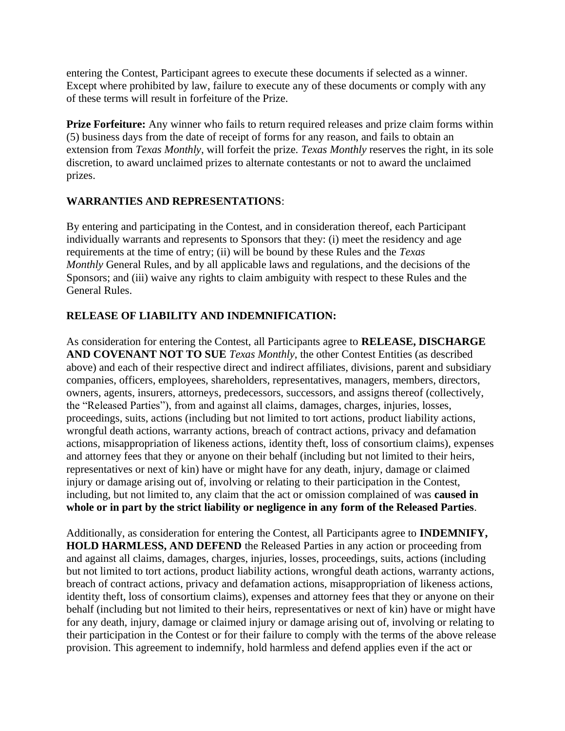entering the Contest, Participant agrees to execute these documents if selected as a winner. Except where prohibited by law, failure to execute any of these documents or comply with any of these terms will result in forfeiture of the Prize.

**Prize Forfeiture:** Any winner who fails to return required releases and prize claim forms within (5) business days from the date of receipt of forms for any reason, and fails to obtain an extension from *Texas Monthly*, will forfeit the prize. *Texas Monthly* reserves the right, in its sole discretion, to award unclaimed prizes to alternate contestants or not to award the unclaimed prizes.

### **WARRANTIES AND REPRESENTATIONS**:

By entering and participating in the Contest, and in consideration thereof, each Participant individually warrants and represents to Sponsors that they: (i) meet the residency and age requirements at the time of entry; (ii) will be bound by these Rules and the *Texas Monthly* General Rules, and by all applicable laws and regulations, and the decisions of the Sponsors; and (iii) waive any rights to claim ambiguity with respect to these Rules and the General Rules.

### **RELEASE OF LIABILITY AND INDEMNIFICATION:**

As consideration for entering the Contest, all Participants agree to **RELEASE, DISCHARGE AND COVENANT NOT TO SUE** *Texas Monthly*, the other Contest Entities (as described above) and each of their respective direct and indirect affiliates, divisions, parent and subsidiary companies, officers, employees, shareholders, representatives, managers, members, directors, owners, agents, insurers, attorneys, predecessors, successors, and assigns thereof (collectively, the "Released Parties"), from and against all claims, damages, charges, injuries, losses, proceedings, suits, actions (including but not limited to tort actions, product liability actions, wrongful death actions, warranty actions, breach of contract actions, privacy and defamation actions, misappropriation of likeness actions, identity theft, loss of consortium claims), expenses and attorney fees that they or anyone on their behalf (including but not limited to their heirs, representatives or next of kin) have or might have for any death, injury, damage or claimed injury or damage arising out of, involving or relating to their participation in the Contest, including, but not limited to, any claim that the act or omission complained of was **caused in whole or in part by the strict liability or negligence in any form of the Released Parties**.

Additionally, as consideration for entering the Contest, all Participants agree to **INDEMNIFY, HOLD HARMLESS, AND DEFEND** the Released Parties in any action or proceeding from and against all claims, damages, charges, injuries, losses, proceedings, suits, actions (including but not limited to tort actions, product liability actions, wrongful death actions, warranty actions, breach of contract actions, privacy and defamation actions, misappropriation of likeness actions, identity theft, loss of consortium claims), expenses and attorney fees that they or anyone on their behalf (including but not limited to their heirs, representatives or next of kin) have or might have for any death, injury, damage or claimed injury or damage arising out of, involving or relating to their participation in the Contest or for their failure to comply with the terms of the above release provision. This agreement to indemnify, hold harmless and defend applies even if the act or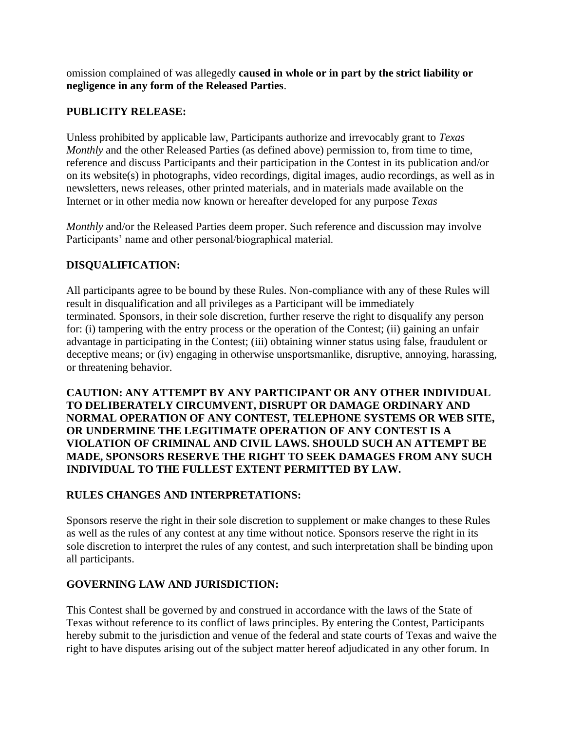omission complained of was allegedly **caused in whole or in part by the strict liability or negligence in any form of the Released Parties**.

#### **PUBLICITY RELEASE:**

Unless prohibited by applicable law, Participants authorize and irrevocably grant to *Texas Monthly* and the other Released Parties (as defined above) permission to, from time to time, reference and discuss Participants and their participation in the Contest in its publication and/or on its website(s) in photographs, video recordings, digital images, audio recordings, as well as in newsletters, news releases, other printed materials, and in materials made available on the Internet or in other media now known or hereafter developed for any purpose *Texas* 

*Monthly* and/or the Released Parties deem proper. Such reference and discussion may involve Participants' name and other personal/biographical material.

#### **DISQUALIFICATION:**

All participants agree to be bound by these Rules. Non-compliance with any of these Rules will result in disqualification and all privileges as a Participant will be immediately terminated. Sponsors, in their sole discretion, further reserve the right to disqualify any person for: (i) tampering with the entry process or the operation of the Contest; (ii) gaining an unfair advantage in participating in the Contest; (iii) obtaining winner status using false, fraudulent or deceptive means; or (iv) engaging in otherwise unsportsmanlike, disruptive, annoying, harassing, or threatening behavior.

**CAUTION: ANY ATTEMPT BY ANY PARTICIPANT OR ANY OTHER INDIVIDUAL TO DELIBERATELY CIRCUMVENT, DISRUPT OR DAMAGE ORDINARY AND NORMAL OPERATION OF ANY CONTEST, TELEPHONE SYSTEMS OR WEB SITE, OR UNDERMINE THE LEGITIMATE OPERATION OF ANY CONTEST IS A VIOLATION OF CRIMINAL AND CIVIL LAWS. SHOULD SUCH AN ATTEMPT BE MADE, SPONSORS RESERVE THE RIGHT TO SEEK DAMAGES FROM ANY SUCH INDIVIDUAL TO THE FULLEST EXTENT PERMITTED BY LAW.** 

#### **RULES CHANGES AND INTERPRETATIONS:**

Sponsors reserve the right in their sole discretion to supplement or make changes to these Rules as well as the rules of any contest at any time without notice. Sponsors reserve the right in its sole discretion to interpret the rules of any contest, and such interpretation shall be binding upon all participants.

### **GOVERNING LAW AND JURISDICTION:**

This Contest shall be governed by and construed in accordance with the laws of the State of Texas without reference to its conflict of laws principles. By entering the Contest, Participants hereby submit to the jurisdiction and venue of the federal and state courts of Texas and waive the right to have disputes arising out of the subject matter hereof adjudicated in any other forum. In